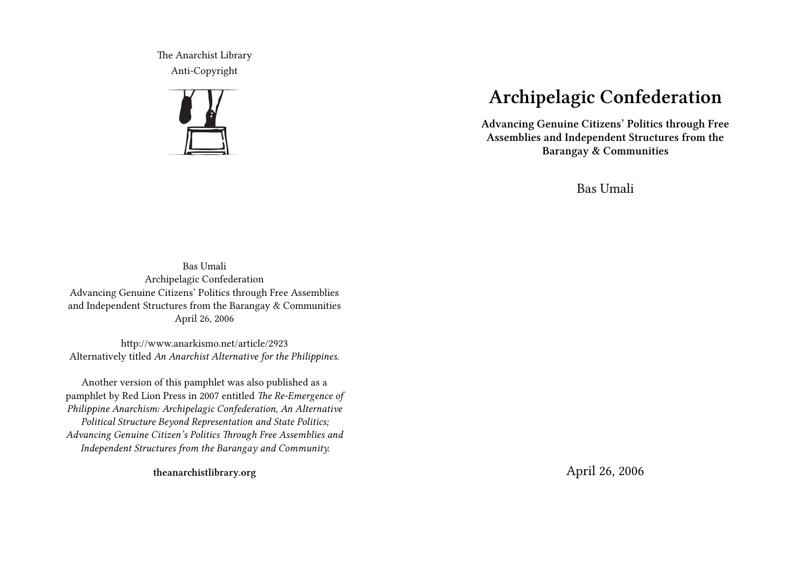The Anarchist Library Anti-Copyright



## **Archipelagic Confederation**

**Advancing Genuine Citizens' Politics through Free Assemblies and Independent Structures from the Barangay & Communities**

Bas Umali

Bas Umali Archipelagic Confederation Advancing Genuine Citizens' Politics through Free Assemblies and Independent Structures from the Barangay & Communities April 26, 2006

http://www.anarkismo.net/article/2923 Alternatively titled *An Anarchist Alternative for the Philippines*.

Another version of this pamphlet was also published as a pamphlet by Red Lion Press in 2007 entitled *The Re-Emergence of Philippine Anarchism: Archipelagic Confederation, An Alternative Political Structure Beyond Representation and State Politics; Advancing Genuine Citizen's Politics Through Free Assemblies and Independent Structures from the Barangay and Community.*

**theanarchistlibrary.org**

April 26, 2006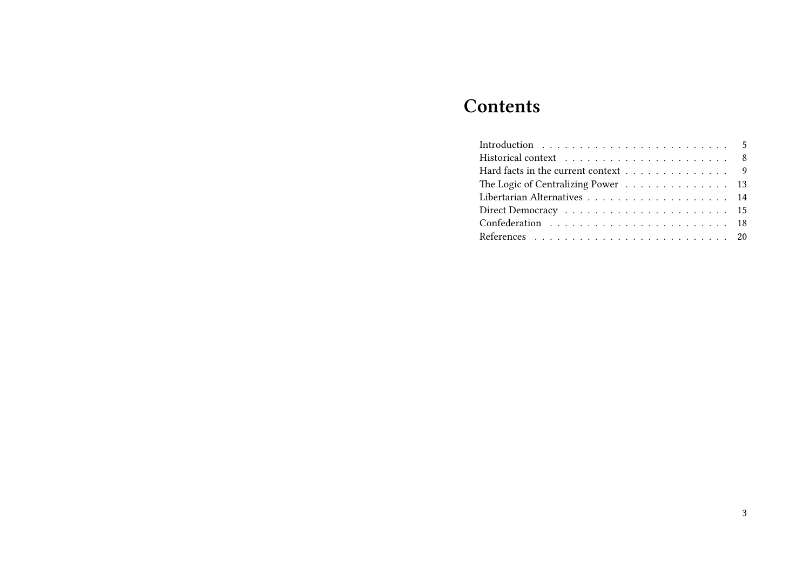# **Contents**

| Hard facts in the current context 9 |  |
|-------------------------------------|--|
| The Logic of Centralizing Power 13  |  |
|                                     |  |
|                                     |  |
|                                     |  |
|                                     |  |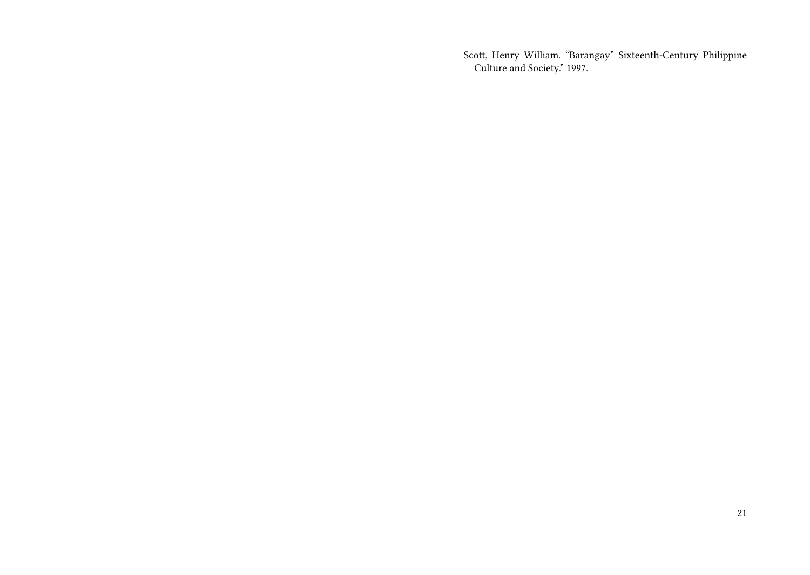Scott, Henry William. "Barangay" Sixteenth-Century Philippine Culture and Society." 1997.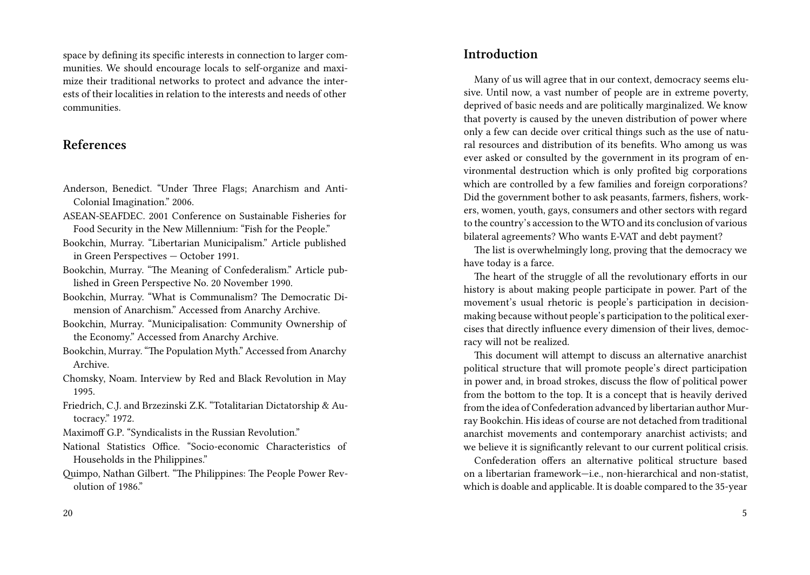space by defining its specific interests in connection to larger communities. We should encourage locals to self-organize and maximize their traditional networks to protect and advance the interests of their localities in relation to the interests and needs of other communities.

## **References**

- Anderson, Benedict. "Under Three Flags; Anarchism and Anti-Colonial Imagination." 2006.
- ASEAN-SEAFDEC. 2001 Conference on Sustainable Fisheries for Food Security in the New Millennium: "Fish for the People."
- Bookchin, Murray. "Libertarian Municipalism." Article published in Green Perspectives — October 1991.
- Bookchin, Murray. "The Meaning of Confederalism." Article published in Green Perspective No. 20 November 1990.
- Bookchin, Murray. "What is Communalism? The Democratic Dimension of Anarchism." Accessed from Anarchy Archive.
- Bookchin, Murray. "Municipalisation: Community Ownership of the Economy." Accessed from Anarchy Archive.
- Bookchin, Murray. "The Population Myth." Accessed from Anarchy Archive.
- Chomsky, Noam. Interview by Red and Black Revolution in May 1995.
- Friedrich, C.J. and Brzezinski Z.K. "Totalitarian Dictatorship & Autocracy." 1972.
- Maximoff G.P. "Syndicalists in the Russian Revolution."
- National Statistics Office. "Socio-economic Characteristics of Households in the Philippines."
- Quimpo, Nathan Gilbert. "The Philippines: The People Power Revolution of 1986."

#### **Introduction**

Many of us will agree that in our context, democracy seems elusive. Until now, a vast number of people are in extreme poverty, deprived of basic needs and are politically marginalized. We know that poverty is caused by the uneven distribution of power where only a few can decide over critical things such as the use of natural resources and distribution of its benefits. Who among us was ever asked or consulted by the government in its program of environmental destruction which is only profited big corporations which are controlled by a few families and foreign corporations? Did the government bother to ask peasants, farmers, fishers, workers, women, youth, gays, consumers and other sectors with regard to the country's accession to the WTO and its conclusion of various bilateral agreements? Who wants E-VAT and debt payment?

The list is overwhelmingly long, proving that the democracy we have today is a farce.

The heart of the struggle of all the revolutionary efforts in our history is about making people participate in power. Part of the movement's usual rhetoric is people's participation in decisionmaking because without people's participation to the political exercises that directly influence every dimension of their lives, democracy will not be realized.

This document will attempt to discuss an alternative anarchist political structure that will promote people's direct participation in power and, in broad strokes, discuss the flow of political power from the bottom to the top. It is a concept that is heavily derived from the idea of Confederation advanced by libertarian author Murray Bookchin. His ideas of course are not detached from traditional anarchist movements and contemporary anarchist activists; and we believe it is significantly relevant to our current political crisis.

Confederation offers an alternative political structure based on a libertarian framework—i.e., non-hierarchical and non-statist, which is doable and applicable. It is doable compared to the 35-year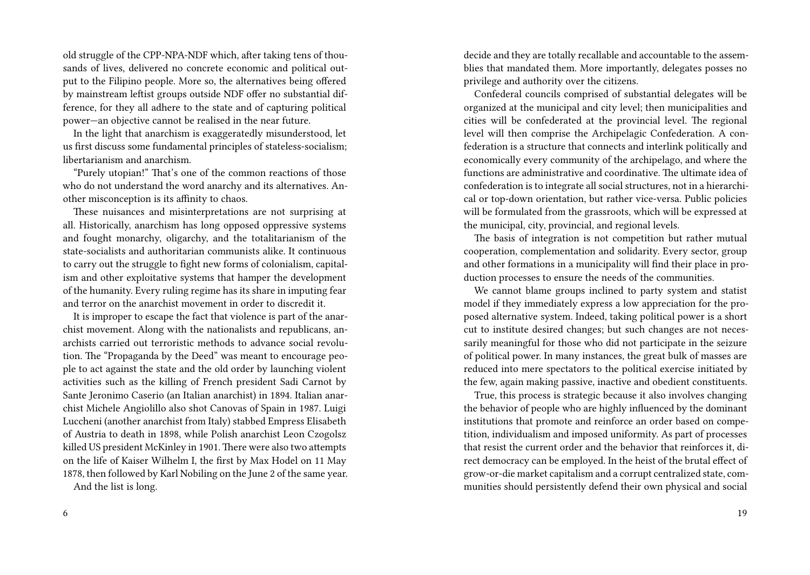old struggle of the CPP-NPA-NDF which, after taking tens of thousands of lives, delivered no concrete economic and political output to the Filipino people. More so, the alternatives being offered by mainstream leftist groups outside NDF offer no substantial difference, for they all adhere to the state and of capturing political power—an objective cannot be realised in the near future.

In the light that anarchism is exaggeratedly misunderstood, let us first discuss some fundamental principles of stateless-socialism; libertarianism and anarchism.

"Purely utopian!" That's one of the common reactions of those who do not understand the word anarchy and its alternatives. Another misconception is its affinity to chaos.

These nuisances and misinterpretations are not surprising at all. Historically, anarchism has long opposed oppressive systems and fought monarchy, oligarchy, and the totalitarianism of the state-socialists and authoritarian communists alike. It continuous to carry out the struggle to fight new forms of colonialism, capitalism and other exploitative systems that hamper the development of the humanity. Every ruling regime has its share in imputing fear and terror on the anarchist movement in order to discredit it.

It is improper to escape the fact that violence is part of the anarchist movement. Along with the nationalists and republicans, anarchists carried out terroristic methods to advance social revolution. The "Propaganda by the Deed" was meant to encourage people to act against the state and the old order by launching violent activities such as the killing of French president Sadi Carnot by Sante Jeronimo Caserio (an Italian anarchist) in 1894. Italian anarchist Michele Angiolillo also shot Canovas of Spain in 1987. Luigi Luccheni (another anarchist from Italy) stabbed Empress Elisabeth of Austria to death in 1898, while Polish anarchist Leon Czogolsz killed US president McKinley in 1901. There were also two attempts on the life of Kaiser Wilhelm I, the first by Max Hodel on 11 May 1878, then followed by Karl Nobiling on the June 2 of the same year. And the list is long.

decide and they are totally recallable and accountable to the assemblies that mandated them. More importantly, delegates posses no privilege and authority over the citizens.

Confederal councils comprised of substantial delegates will be organized at the municipal and city level; then municipalities and cities will be confederated at the provincial level. The regional level will then comprise the Archipelagic Confederation. A confederation is a structure that connects and interlink politically and economically every community of the archipelago, and where the functions are administrative and coordinative. The ultimate idea of confederation is to integrate all social structures, not in a hierarchical or top-down orientation, but rather vice-versa. Public policies will be formulated from the grassroots, which will be expressed at the municipal, city, provincial, and regional levels.

The basis of integration is not competition but rather mutual cooperation, complementation and solidarity. Every sector, group and other formations in a municipality will find their place in production processes to ensure the needs of the communities.

We cannot blame groups inclined to party system and statist model if they immediately express a low appreciation for the proposed alternative system. Indeed, taking political power is a short cut to institute desired changes; but such changes are not necessarily meaningful for those who did not participate in the seizure of political power. In many instances, the great bulk of masses are reduced into mere spectators to the political exercise initiated by the few, again making passive, inactive and obedient constituents.

True, this process is strategic because it also involves changing the behavior of people who are highly influenced by the dominant institutions that promote and reinforce an order based on competition, individualism and imposed uniformity. As part of processes that resist the current order and the behavior that reinforces it, direct democracy can be employed. In the heist of the brutal effect of grow-or-die market capitalism and a corrupt centralized state, communities should persistently defend their own physical and social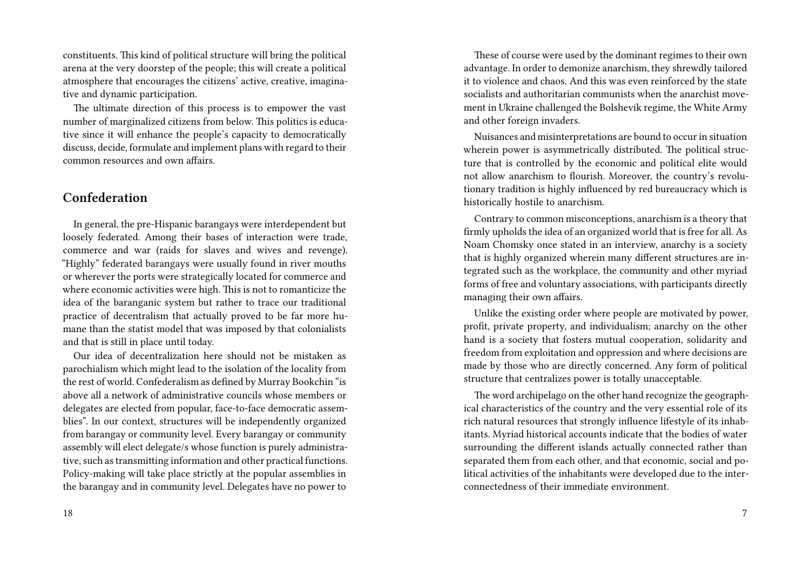constituents. This kind of political structure will bring the political arena at the very doorstep of the people; this will create a political atmosphere that encourages the citizens' active, creative, imaginative and dynamic participation.

The ultimate direction of this process is to empower the vast number of marginalized citizens from below. This politics is educative since it will enhance the people's capacity to democratically discuss, decide, formulate and implement plans with regard to their common resources and own affairs.

#### **Confederation**

In general, the pre-Hispanic barangays were interdependent but loosely federated. Among their bases of interaction were trade, commerce and war (raids for slaves and wives and revenge). "Highly" federated barangays were usually found in river mouths or wherever the ports were strategically located for commerce and where economic activities were high. This is not to romanticize the idea of the baranganic system but rather to trace our traditional practice of decentralism that actually proved to be far more humane than the statist model that was imposed by that colonialists and that is still in place until today.

Our idea of decentralization here should not be mistaken as parochialism which might lead to the isolation of the locality from the rest of world. Confederalism as defined by Murray Bookchin "is above all a network of administrative councils whose members or delegates are elected from popular, face-to-face democratic assemblies". In our context, structures will be independently organized from barangay or community level. Every barangay or community assembly will elect delegate/s whose function is purely administrative, such as transmitting information and other practical functions. Policy-making will take place strictly at the popular assemblies in the barangay and in community level. Delegates have no power to

These of course were used by the dominant regimes to their own advantage. In order to demonize anarchism, they shrewdly tailored it to violence and chaos. And this was even reinforced by the state socialists and authoritarian communists when the anarchist movement in Ukraine challenged the Bolshevik regime, the White Army and other foreign invaders.

Nuisances and misinterpretations are bound to occur in situation wherein power is asymmetrically distributed. The political structure that is controlled by the economic and political elite would not allow anarchism to flourish. Moreover, the country's revolutionary tradition is highly influenced by red bureaucracy which is historically hostile to anarchism.

Contrary to common misconceptions, anarchism is a theory that firmly upholds the idea of an organized world that is free for all. As Noam Chomsky once stated in an interview, anarchy is a society that is highly organized wherein many different structures are integrated such as the workplace, the community and other myriad forms of free and voluntary associations, with participants directly managing their own affairs.

Unlike the existing order where people are motivated by power, profit, private property, and individualism; anarchy on the other hand is a society that fosters mutual cooperation, solidarity and freedom from exploitation and oppression and where decisions are made by those who are directly concerned. Any form of political structure that centralizes power is totally unacceptable.

The word archipelago on the other hand recognize the geographical characteristics of the country and the very essential role of its rich natural resources that strongly influence lifestyle of its inhabitants. Myriad historical accounts indicate that the bodies of water surrounding the different islands actually connected rather than separated them from each other, and that economic, social and political activities of the inhabitants were developed due to the interconnectedness of their immediate environment.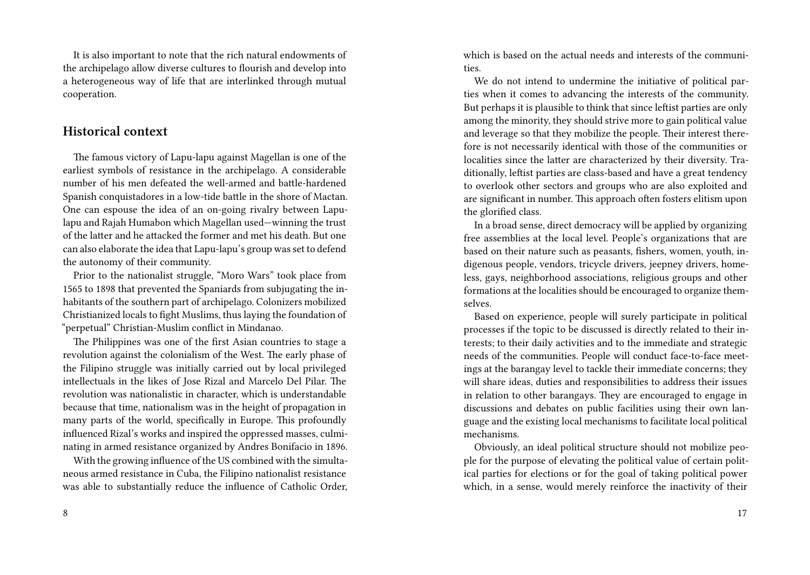It is also important to note that the rich natural endowments of the archipelago allow diverse cultures to flourish and develop into a heterogeneous way of life that are interlinked through mutual cooperation.

#### **Historical context**

The famous victory of Lapu-lapu against Magellan is one of the earliest symbols of resistance in the archipelago. A considerable number of his men defeated the well-armed and battle-hardened Spanish conquistadores in a low-tide battle in the shore of Mactan. One can espouse the idea of an on-going rivalry between Lapulapu and Rajah Humabon which Magellan used—winning the trust of the latter and he attacked the former and met his death. But one can also elaborate the idea that Lapu-lapu's group was set to defend the autonomy of their community.

Prior to the nationalist struggle, "Moro Wars" took place from 1565 to 1898 that prevented the Spaniards from subjugating the inhabitants of the southern part of archipelago. Colonizers mobilized Christianized locals to fight Muslims, thus laying the foundation of "perpetual" Christian-Muslim conflict in Mindanao.

The Philippines was one of the first Asian countries to stage a revolution against the colonialism of the West. The early phase of the Filipino struggle was initially carried out by local privileged intellectuals in the likes of Jose Rizal and Marcelo Del Pilar. The revolution was nationalistic in character, which is understandable because that time, nationalism was in the height of propagation in many parts of the world, specifically in Europe. This profoundly influenced Rizal's works and inspired the oppressed masses, culminating in armed resistance organized by Andres Bonifacio in 1896.

With the growing influence of the US combined with the simultaneous armed resistance in Cuba, the Filipino nationalist resistance was able to substantially reduce the influence of Catholic Order, which is based on the actual needs and interests of the communities.

We do not intend to undermine the initiative of political parties when it comes to advancing the interests of the community. But perhaps it is plausible to think that since leftist parties are only among the minority, they should strive more to gain political value and leverage so that they mobilize the people. Their interest therefore is not necessarily identical with those of the communities or localities since the latter are characterized by their diversity. Traditionally, leftist parties are class-based and have a great tendency to overlook other sectors and groups who are also exploited and are significant in number. This approach often fosters elitism upon the glorified class.

In a broad sense, direct democracy will be applied by organizing free assemblies at the local level. People's organizations that are based on their nature such as peasants, fishers, women, youth, indigenous people, vendors, tricycle drivers, jeepney drivers, homeless, gays, neighborhood associations, religious groups and other formations at the localities should be encouraged to organize themselves.

Based on experience, people will surely participate in political processes if the topic to be discussed is directly related to their interests; to their daily activities and to the immediate and strategic needs of the communities. People will conduct face-to-face meetings at the barangay level to tackle their immediate concerns; they will share ideas, duties and responsibilities to address their issues in relation to other barangays. They are encouraged to engage in discussions and debates on public facilities using their own language and the existing local mechanisms to facilitate local political mechanisms.

Obviously, an ideal political structure should not mobilize people for the purpose of elevating the political value of certain political parties for elections or for the goal of taking political power which, in a sense, would merely reinforce the inactivity of their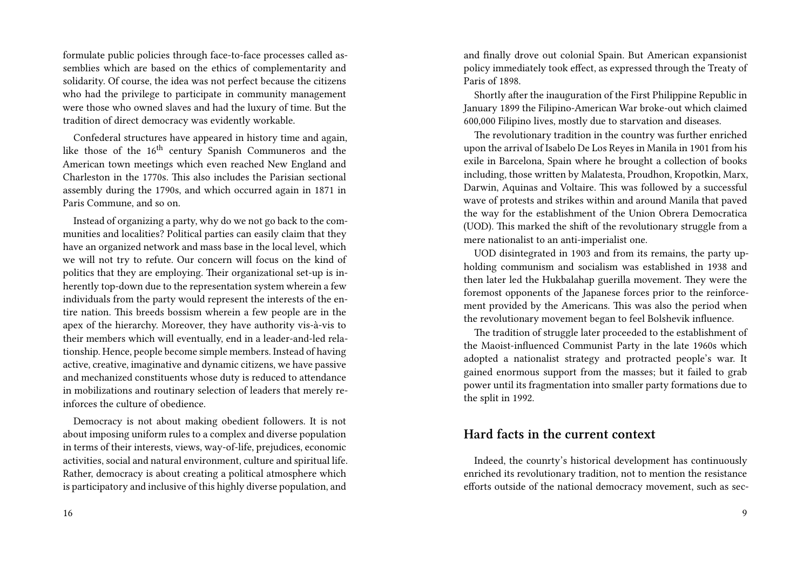formulate public policies through face-to-face processes called assemblies which are based on the ethics of complementarity and solidarity. Of course, the idea was not perfect because the citizens who had the privilege to participate in community management were those who owned slaves and had the luxury of time. But the tradition of direct democracy was evidently workable.

Confederal structures have appeared in history time and again, like those of the 16<sup>th</sup> century Spanish Communeros and the American town meetings which even reached New England and Charleston in the 1770s. This also includes the Parisian sectional assembly during the 1790s, and which occurred again in 1871 in Paris Commune, and so on.

Instead of organizing a party, why do we not go back to the communities and localities? Political parties can easily claim that they have an organized network and mass base in the local level, which we will not try to refute. Our concern will focus on the kind of politics that they are employing. Their organizational set-up is inherently top-down due to the representation system wherein a few individuals from the party would represent the interests of the entire nation. This breeds bossism wherein a few people are in the apex of the hierarchy. Moreover, they have authority vis-à-vis to their members which will eventually, end in a leader-and-led relationship. Hence, people become simple members. Instead of having active, creative, imaginative and dynamic citizens, we have passive and mechanized constituents whose duty is reduced to attendance in mobilizations and routinary selection of leaders that merely reinforces the culture of obedience.

Democracy is not about making obedient followers. It is not about imposing uniform rules to a complex and diverse population in terms of their interests, views, way-of-life, prejudices, economic activities, social and natural environment, culture and spiritual life. Rather, democracy is about creating a political atmosphere which is participatory and inclusive of this highly diverse population, and

and finally drove out colonial Spain. But American expansionist policy immediately took effect, as expressed through the Treaty of Paris of 1898.

Shortly after the inauguration of the First Philippine Republic in January 1899 the Filipino-American War broke-out which claimed 600,000 Filipino lives, mostly due to starvation and diseases.

The revolutionary tradition in the country was further enriched upon the arrival of Isabelo De Los Reyes in Manila in 1901 from his exile in Barcelona, Spain where he brought a collection of books including, those written by Malatesta, Proudhon, Kropotkin, Marx, Darwin, Aquinas and Voltaire. This was followed by a successful wave of protests and strikes within and around Manila that paved the way for the establishment of the Union Obrera Democratica (UOD). This marked the shift of the revolutionary struggle from a mere nationalist to an anti-imperialist one.

UOD disintegrated in 1903 and from its remains, the party upholding communism and socialism was established in 1938 and then later led the Hukbalahap guerilla movement. They were the foremost opponents of the Japanese forces prior to the reinforcement provided by the Americans. This was also the period when the revolutionary movement began to feel Bolshevik influence.

The tradition of struggle later proceeded to the establishment of the Maoist-influenced Communist Party in the late 1960s which adopted a nationalist strategy and protracted people's war. It gained enormous support from the masses; but it failed to grab power until its fragmentation into smaller party formations due to the split in 1992.

## **Hard facts in the current context**

Indeed, the counrty's historical development has continuously enriched its revolutionary tradition, not to mention the resistance efforts outside of the national democracy movement, such as sec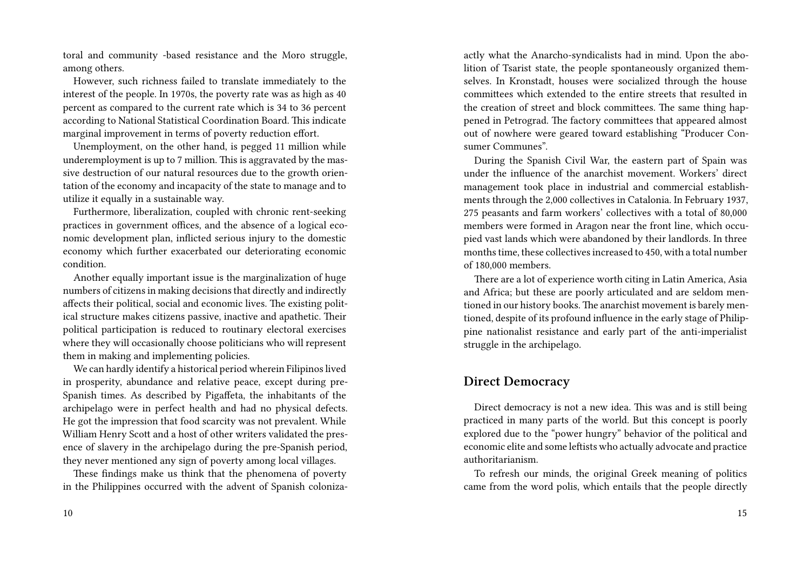toral and community -based resistance and the Moro struggle, among others.

However, such richness failed to translate immediately to the interest of the people. In 1970s, the poverty rate was as high as 40 percent as compared to the current rate which is 34 to 36 percent according to National Statistical Coordination Board. This indicate marginal improvement in terms of poverty reduction effort.

Unemployment, on the other hand, is pegged 11 million while underemployment is up to 7 million. This is aggravated by the massive destruction of our natural resources due to the growth orientation of the economy and incapacity of the state to manage and to utilize it equally in a sustainable way.

Furthermore, liberalization, coupled with chronic rent-seeking practices in government offices, and the absence of a logical economic development plan, inflicted serious injury to the domestic economy which further exacerbated our deteriorating economic condition.

Another equally important issue is the marginalization of huge numbers of citizens in making decisions that directly and indirectly affects their political, social and economic lives. The existing political structure makes citizens passive, inactive and apathetic. Their political participation is reduced to routinary electoral exercises where they will occasionally choose politicians who will represent them in making and implementing policies.

We can hardly identify a historical period wherein Filipinos lived in prosperity, abundance and relative peace, except during pre-Spanish times. As described by Pigaffeta, the inhabitants of the archipelago were in perfect health and had no physical defects. He got the impression that food scarcity was not prevalent. While William Henry Scott and a host of other writers validated the presence of slavery in the archipelago during the pre-Spanish period, they never mentioned any sign of poverty among local villages.

These findings make us think that the phenomena of poverty in the Philippines occurred with the advent of Spanish colonizaactly what the Anarcho-syndicalists had in mind. Upon the abolition of Tsarist state, the people spontaneously organized themselves. In Kronstadt, houses were socialized through the house committees which extended to the entire streets that resulted in the creation of street and block committees. The same thing happened in Petrograd. The factory committees that appeared almost out of nowhere were geared toward establishing "Producer Consumer Communes".

During the Spanish Civil War, the eastern part of Spain was under the influence of the anarchist movement. Workers' direct management took place in industrial and commercial establishments through the 2,000 collectives in Catalonia. In February 1937, 275 peasants and farm workers' collectives with a total of 80,000 members were formed in Aragon near the front line, which occupied vast lands which were abandoned by their landlords. In three months time, these collectives increased to 450, with a total number of 180,000 members.

There are a lot of experience worth citing in Latin America, Asia and Africa; but these are poorly articulated and are seldom mentioned in our history books. The anarchist movement is barely mentioned, despite of its profound influence in the early stage of Philippine nationalist resistance and early part of the anti-imperialist struggle in the archipelago.

#### **Direct Democracy**

Direct democracy is not a new idea. This was and is still being practiced in many parts of the world. But this concept is poorly explored due to the "power hungry" behavior of the political and economic elite and some leftists who actually advocate and practice authoritarianism.

To refresh our minds, the original Greek meaning of politics came from the word polis, which entails that the people directly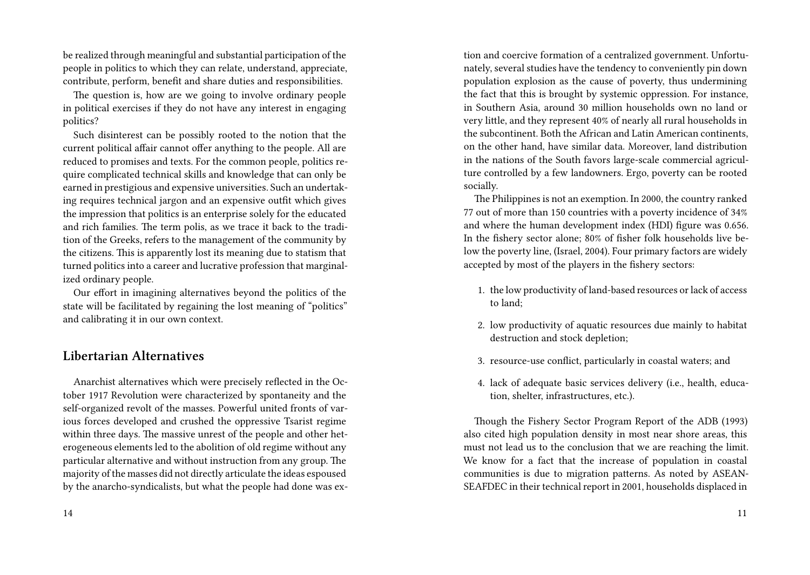be realized through meaningful and substantial participation of the people in politics to which they can relate, understand, appreciate, contribute, perform, benefit and share duties and responsibilities.

The question is, how are we going to involve ordinary people in political exercises if they do not have any interest in engaging politics?

Such disinterest can be possibly rooted to the notion that the current political affair cannot offer anything to the people. All are reduced to promises and texts. For the common people, politics require complicated technical skills and knowledge that can only be earned in prestigious and expensive universities. Such an undertaking requires technical jargon and an expensive outfit which gives the impression that politics is an enterprise solely for the educated and rich families. The term polis, as we trace it back to the tradition of the Greeks, refers to the management of the community by the citizens. This is apparently lost its meaning due to statism that turned politics into a career and lucrative profession that marginalized ordinary people.

Our effort in imagining alternatives beyond the politics of the state will be facilitated by regaining the lost meaning of "politics" and calibrating it in our own context.

## **Libertarian Alternatives**

Anarchist alternatives which were precisely reflected in the October 1917 Revolution were characterized by spontaneity and the self-organized revolt of the masses. Powerful united fronts of various forces developed and crushed the oppressive Tsarist regime within three days. The massive unrest of the people and other heterogeneous elements led to the abolition of old regime without any particular alternative and without instruction from any group. The majority of the masses did not directly articulate the ideas espoused by the anarcho-syndicalists, but what the people had done was ex-

tion and coercive formation of a centralized government. Unfortunately, several studies have the tendency to conveniently pin down population explosion as the cause of poverty, thus undermining the fact that this is brought by systemic oppression. For instance, in Southern Asia, around 30 million households own no land or very little, and they represent 40% of nearly all rural households in the subcontinent. Both the African and Latin American continents, on the other hand, have similar data. Moreover, land distribution in the nations of the South favors large-scale commercial agriculture controlled by a few landowners. Ergo, poverty can be rooted socially.

The Philippines is not an exemption. In 2000, the country ranked 77 out of more than 150 countries with a poverty incidence of 34% and where the human development index (HDI) figure was 0.656. In the fishery sector alone; 80% of fisher folk households live below the poverty line, (Israel, 2004). Four primary factors are widely accepted by most of the players in the fishery sectors:

- 1. the low productivity of land-based resources or lack of access to land;
- 2. low productivity of aquatic resources due mainly to habitat destruction and stock depletion;
- 3. resource-use conflict, particularly in coastal waters; and
- 4. lack of adequate basic services delivery (i.e., health, education, shelter, infrastructures, etc.).

Though the Fishery Sector Program Report of the ADB (1993) also cited high population density in most near shore areas, this must not lead us to the conclusion that we are reaching the limit. We know for a fact that the increase of population in coastal communities is due to migration patterns. As noted by ASEAN-SEAFDEC in their technical report in 2001, households displaced in